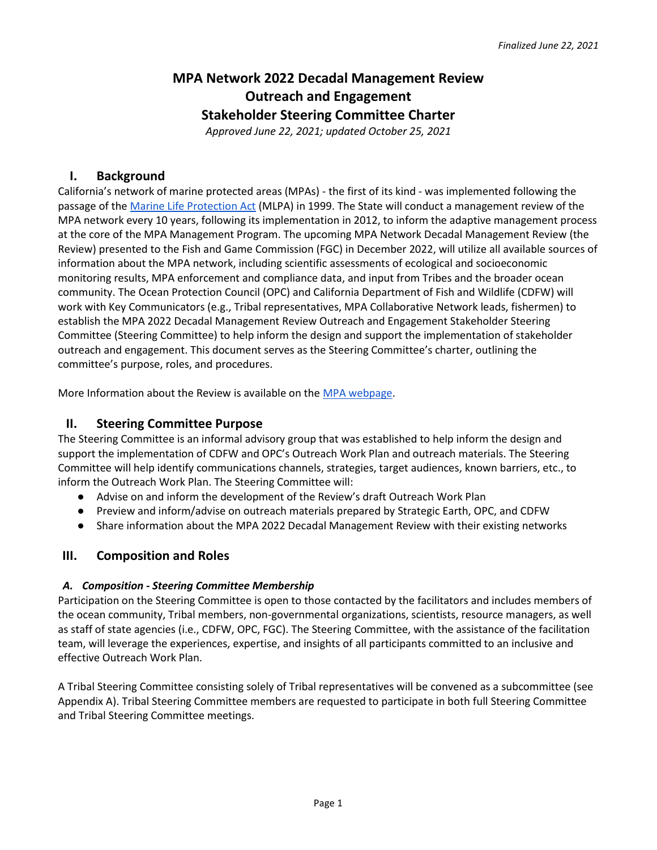# **MPA Network 2022 Decadal Management Review Outreach and Engagement Stakeholder Steering Committee Charter**

*Approved June 22, 2021; updated October 25, 2021*

## **I. Background**

California's network of marine protected areas (MPAs) - the first of its kind - was implemented following the passage of the [Marine Life Protection Act](http://www.wildlife.ca.gov/Conservation/Marine/MPAs/MLPA) (MLPA) in 1999. The State will conduct a management review of the MPA network every 10 years, following its implementation in 2012, to inform the adaptive management process at the core of the MPA Management Program. The upcoming MPA Network Decadal Management Review (the Review) presented to the Fish and Game Commission (FGC) in December 2022, will utilize all available sources of information about the MPA network, including scientific assessments of ecological and socioeconomic monitoring results, MPA enforcement and compliance data, and input from Tribes and the broader ocean community. The Ocean Protection Council (OPC) and California Department of Fish and Wildlife (CDFW) will work with Key Communicators (e.g., Tribal representatives, MPA Collaborative Network leads, fishermen) to establish the MPA 2022 Decadal Management Review Outreach and Engagement Stakeholder Steering Committee (Steering Committee) to help inform the design and support the implementation of stakeholder outreach and engagement. This document serves as the Steering Committee's charter, outlining the committee's purpose, roles, and procedures.

More Information about the Review is available on the MPA [webpage.](https://wildlife.ca.gov/Conservation/Marine/MPAs/Management/Decadal-Review#56638603-about)

#### **II. Steering Committee Purpose**

The Steering Committee is an informal advisory group that was established to help inform the design and support the implementation of CDFW and OPC's Outreach Work Plan and outreach materials. The Steering Committee will help identify communications channels, strategies, target audiences, known barriers, etc., to inform the Outreach Work Plan. The Steering Committee will:

- Advise on and inform the development of the Review's draft Outreach Work Plan
- Preview and inform/advise on outreach materials prepared by Strategic Earth, OPC, and CDFW
- Share information about the MPA 2022 Decadal Management Review with their existing networks

#### **III. Composition and Roles**

#### *A. Composition - Steering Committee Membership*

Participation on the Steering Committee is open to those contacted by the facilitators and includes members of the ocean community, Tribal members, non-governmental organizations, scientists, resource managers, as well as staff of state agencies (i.e., CDFW, OPC, FGC). The Steering Committee, with the assistance of the facilitation team, will leverage the experiences, expertise, and insights of all participants committed to an inclusive and effective Outreach Work Plan.

A Tribal Steering Committee consisting solely of Tribal representatives will be convened as a subcommittee (see Appendix A). Tribal Steering Committee members are requested to participate in both full Steering Committee and Tribal Steering Committee meetings.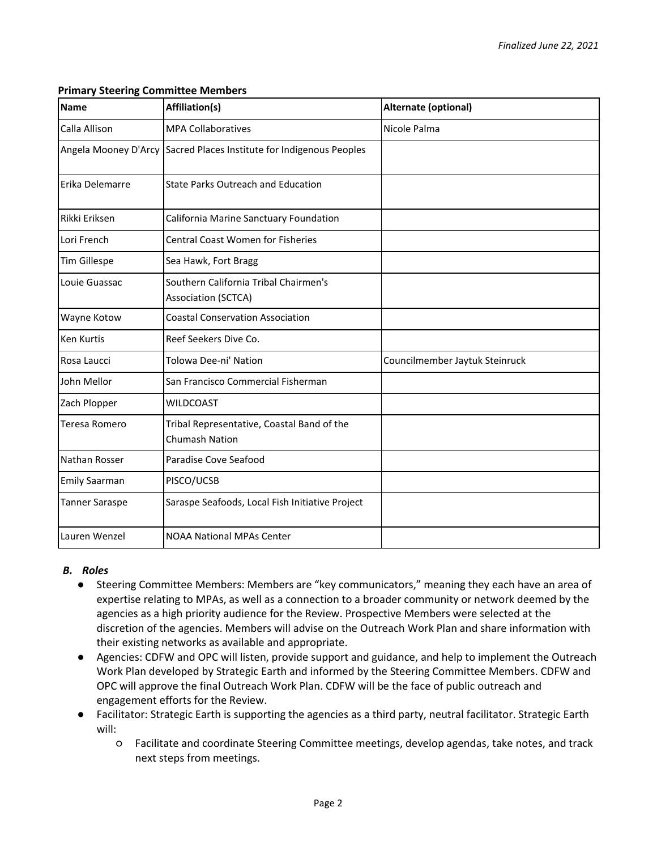| <b>Name</b>           | Affiliation(s)                                                      | Alternate (optional)           |
|-----------------------|---------------------------------------------------------------------|--------------------------------|
| Calla Allison         | <b>MPA Collaboratives</b>                                           | Nicole Palma                   |
| Angela Mooney D'Arcy  | Sacred Places Institute for Indigenous Peoples                      |                                |
| Erika Delemarre       | <b>State Parks Outreach and Education</b>                           |                                |
| Rikki Eriksen         | California Marine Sanctuary Foundation                              |                                |
| Lori French           | <b>Central Coast Women for Fisheries</b>                            |                                |
| <b>Tim Gillespe</b>   | Sea Hawk, Fort Bragg                                                |                                |
| Louie Guassac         | Southern California Tribal Chairmen's<br><b>Association (SCTCA)</b> |                                |
| <b>Wayne Kotow</b>    | <b>Coastal Conservation Association</b>                             |                                |
| <b>Ken Kurtis</b>     | Reef Seekers Dive Co.                                               |                                |
| Rosa Laucci           | Tolowa Dee-ni' Nation                                               | Councilmember Jaytuk Steinruck |
| John Mellor           | San Francisco Commercial Fisherman                                  |                                |
| Zach Plopper          | <b>WILDCOAST</b>                                                    |                                |
| Teresa Romero         | Tribal Representative, Coastal Band of the<br><b>Chumash Nation</b> |                                |
| Nathan Rosser         | Paradise Cove Seafood                                               |                                |
| <b>Emily Saarman</b>  | PISCO/UCSB                                                          |                                |
| <b>Tanner Saraspe</b> | Saraspe Seafoods, Local Fish Initiative Project                     |                                |
| Lauren Wenzel         | <b>NOAA National MPAs Center</b>                                    |                                |

#### **Primary Steering Committee Members**

#### *B. Roles*

- Steering Committee Members: Members are "key communicators," meaning they each have an area of expertise relating to MPAs, as well as a connection to a broader community or network deemed by the agencies as a high priority audience for the Review. Prospective Members were selected at the discretion of the agencies. Members will advise on the Outreach Work Plan and share information with their existing networks as available and appropriate.
- Agencies: CDFW and OPC will listen, provide support and guidance, and help to implement the Outreach Work Plan developed by Strategic Earth and informed by the Steering Committee Members. CDFW and OPC will approve the final Outreach Work Plan. CDFW will be the face of public outreach and engagement efforts for the Review.
- Facilitator: Strategic Earth is supporting the agencies as a third party, neutral facilitator. Strategic Earth will:
	- Facilitate and coordinate Steering Committee meetings, develop agendas, take notes, and track next steps from meetings.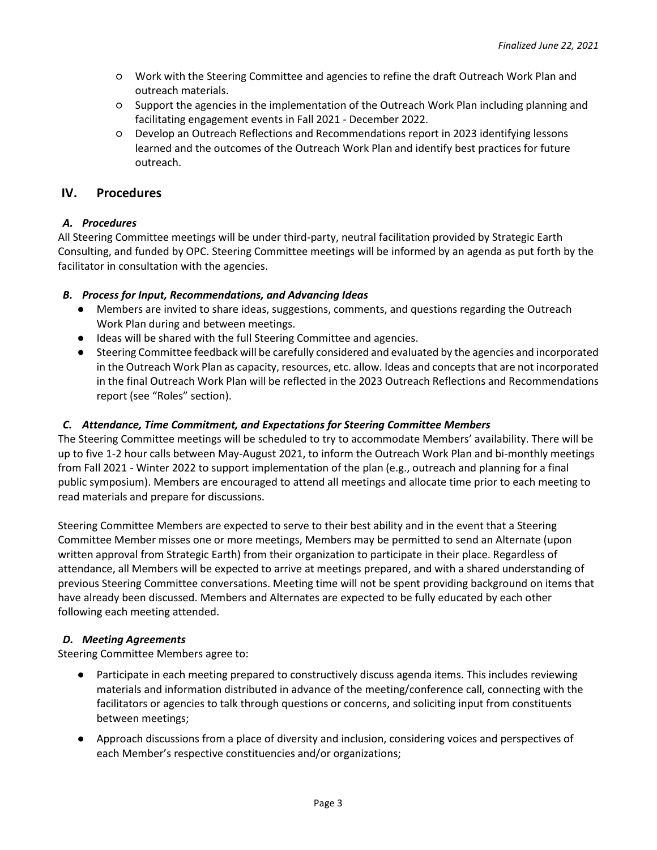- Work with the Steering Committee and agencies to refine the draft Outreach Work Plan and outreach materials.
- Support the agencies in the implementation of the Outreach Work Plan including planning and facilitating engagement events in Fall 2021 - December 2022.
- Develop an Outreach Reflections and Recommendations report in 2023 identifying lessons learned and the outcomes of the Outreach Work Plan and identify best practices for future outreach.

### **IV. Procedures**

#### *A. Procedures*

All Steering Committee meetings will be under third-party, neutral facilitation provided by Strategic Earth Consulting, and funded by OPC. Steering Committee meetings will be informed by an agenda as put forth by the facilitator in consultation with the agencies.

#### *B. Process for Input, Recommendations, and Advancing Ideas*

- Members are invited to share ideas, suggestions, comments, and questions regarding the Outreach Work Plan during and between meetings.
- Ideas will be shared with the full Steering Committee and agencies.
- Steering Committee feedback will be carefully considered and evaluated by the agencies and incorporated in the Outreach Work Plan as capacity, resources, etc. allow. Ideas and concepts that are not incorporated in the final Outreach Work Plan will be reflected in the 2023 Outreach Reflections and Recommendations report (see "Roles" section).

#### *C. Attendance, Time Commitment, and Expectations for Steering Committee Members*

The Steering Committee meetings will be scheduled to try to accommodate Members' availability. There will be up to five 1-2 hour calls between May-August 2021, to inform the Outreach Work Plan and bi-monthly meetings from Fall 2021 - Winter 2022 to support implementation of the plan (e.g., outreach and planning for a final public symposium). Members are encouraged to attend all meetings and allocate time prior to each meeting to read materials and prepare for discussions.

Steering Committee Members are expected to serve to their best ability and in the event that a Steering Committee Member misses one or more meetings, Members may be permitted to send an Alternate (upon written approval from Strategic Earth) from their organization to participate in their place. Regardless of attendance, all Members will be expected to arrive at meetings prepared, and with a shared understanding of previous Steering Committee conversations. Meeting time will not be spent providing background on items that have already been discussed. Members and Alternates are expected to be fully educated by each other following each meeting attended.

#### *D. Meeting Agreements*

Steering Committee Members agree to:

- Participate in each meeting prepared to constructively discuss agenda items. This includes reviewing materials and information distributed in advance of the meeting/conference call, connecting with the facilitators or agencies to talk through questions or concerns, and soliciting input from constituents between meetings;
- Approach discussions from a place of diversity and inclusion, considering voices and perspectives of each Member's respective constituencies and/or organizations;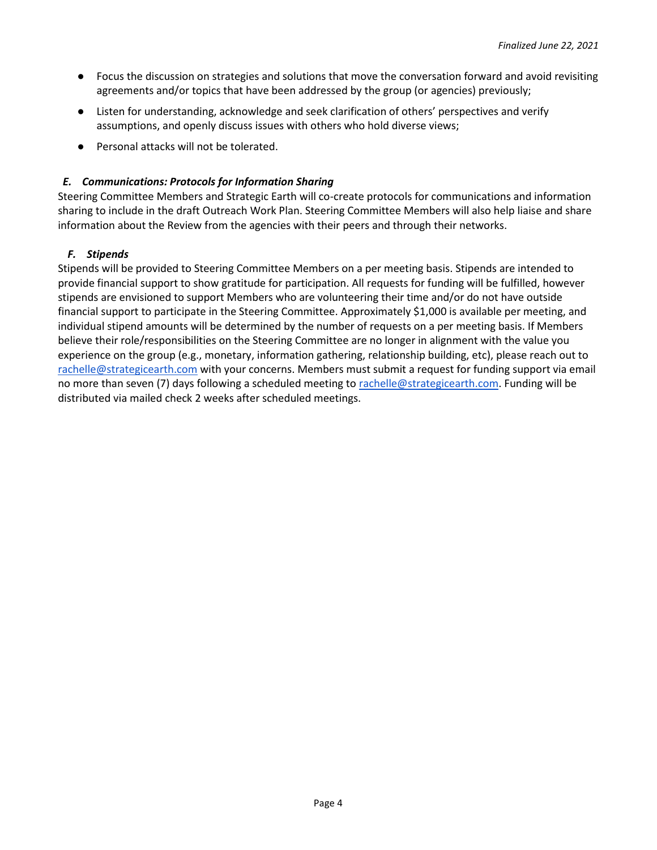- Focus the discussion on strategies and solutions that move the conversation forward and avoid revisiting agreements and/or topics that have been addressed by the group (or agencies) previously;
- Listen for understanding, acknowledge and seek clarification of others' perspectives and verify assumptions, and openly discuss issues with others who hold diverse views;
- Personal attacks will not be tolerated.

#### *E. Communications: Protocols for Information Sharing*

Steering Committee Members and Strategic Earth will co-create protocols for communications and information sharing to include in the draft Outreach Work Plan. Steering Committee Members will also help liaise and share information about the Review from the agencies with their peers and through their networks.

#### *F. Stipends*

Stipends will be provided to Steering Committee Members on a per meeting basis. Stipends are intended to provide financial support to show gratitude for participation. All requests for funding will be fulfilled, however stipends are envisioned to support Members who are volunteering their time and/or do not have outside financial support to participate in the Steering Committee. Approximately \$1,000 is available per meeting, and individual stipend amounts will be determined by the number of requests on a per meeting basis. If Members believe their role/responsibilities on the Steering Committee are no longer in alignment with the value you experience on the group (e.g., monetary, information gathering, relationship building, etc), please reach out to rachelle@strategicearth.com with your concerns. Members must submit a request for funding support via email no more than seven (7) days following a scheduled meeting to rachelle@strategicearth.com. Funding will be distributed via mailed check 2 weeks after scheduled meetings.